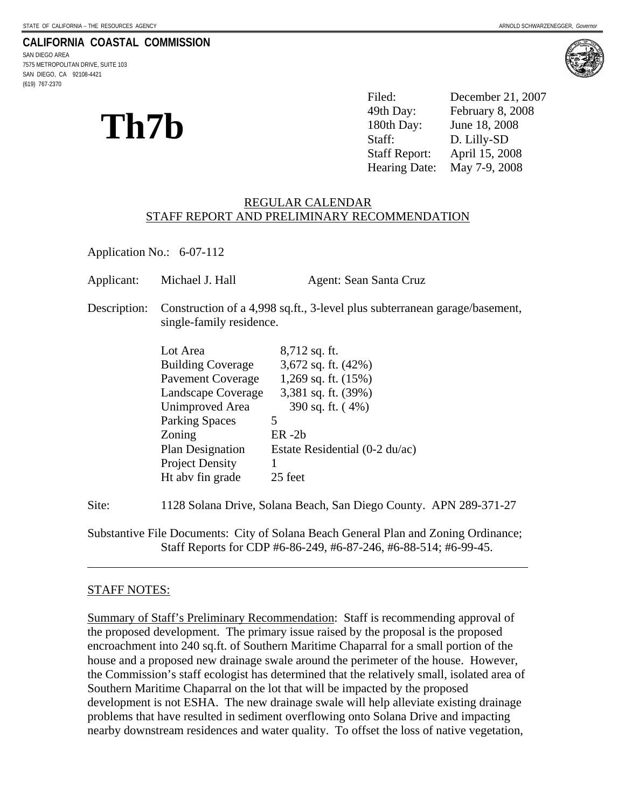#### **CALIFORNIA COASTAL COMMISSION**

SAN DIEGO AREA 7575 METROPOLITAN DRIVE, SUITE 103 SAN DIEGO, CA 92108-4421 (619) 767-2370



# **Th7b**

| Th7b | Filed:               | December 21, 2007 |
|------|----------------------|-------------------|
|      | 49th Day:            | February 8, 2008  |
|      | 180th Day:           | June 18, 2008     |
|      | Staff:               | D. Lilly-SD       |
|      | <b>Staff Report:</b> | April 15, 2008    |
|      | Hearing Date:        | May 7-9, 2008     |

#### REGULAR CALENDAR STAFF REPORT AND PRELIMINARY RECOMMENDATION

Application No.: 6-07-112

| Applicant:   | Michael J. Hall                                                                                                                                                                                                | Agent: Sean Santa Cruz                                                                                                                                                                |  |
|--------------|----------------------------------------------------------------------------------------------------------------------------------------------------------------------------------------------------------------|---------------------------------------------------------------------------------------------------------------------------------------------------------------------------------------|--|
| Description: | Construction of a 4,998 sq.ft., 3-level plus subterranean garage/basement,<br>single-family residence.                                                                                                         |                                                                                                                                                                                       |  |
|              | Lot Area<br><b>Building Coverage</b><br>Pavement Coverage<br>Landscape Coverage<br>Unimproved Area<br><b>Parking Spaces</b><br>Zoning<br><b>Plan Designation</b><br><b>Project Density</b><br>Ht aby fin grade | $8,712$ sq. ft.<br>3,672 sq. ft. $(42\%)$<br>1,269 sq. ft. $(15%)$<br>3,381 sq. ft. $(39%)$<br>390 sq. ft. (4%)<br>5<br>$ER - 2b$<br>Estate Residential $(0-2 du/ac)$<br>1<br>25 feet |  |
|              |                                                                                                                                                                                                                |                                                                                                                                                                                       |  |

Site: 1128 Solana Drive, Solana Beach, San Diego County. APN 289-371-27

Substantive File Documents: City of Solana Beach General Plan and Zoning Ordinance; Staff Reports for CDP #6-86-249, #6-87-246, #6-88-514; #6-99-45.

#### STAFF NOTES:

l

Summary of Staff's Preliminary Recommendation: Staff is recommending approval of the proposed development. The primary issue raised by the proposal is the proposed encroachment into 240 sq.ft. of Southern Maritime Chaparral for a small portion of the house and a proposed new drainage swale around the perimeter of the house. However, the Commission's staff ecologist has determined that the relatively small, isolated area of Southern Maritime Chaparral on the lot that will be impacted by the proposed development is not ESHA. The new drainage swale will help alleviate existing drainage problems that have resulted in sediment overflowing onto Solana Drive and impacting nearby downstream residences and water quality. To offset the loss of native vegetation,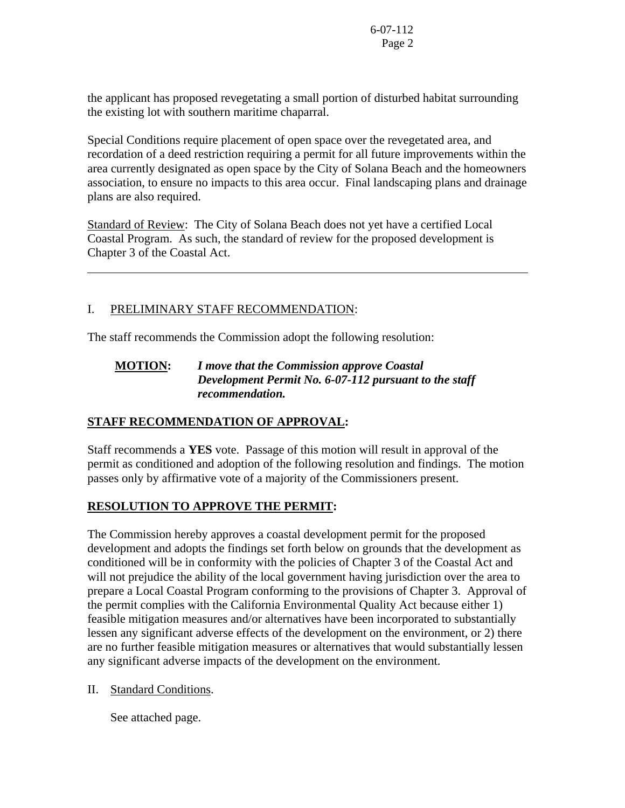the applicant has proposed revegetating a small portion of disturbed habitat surrounding the existing lot with southern maritime chaparral.

Special Conditions require placement of open space over the revegetated area, and recordation of a deed restriction requiring a permit for all future improvements within the area currently designated as open space by the City of Solana Beach and the homeowners association, to ensure no impacts to this area occur. Final landscaping plans and drainage plans are also required.

Standard of Review: The City of Solana Beach does not yet have a certified Local Coastal Program. As such, the standard of review for the proposed development is Chapter 3 of the Coastal Act.

# I. PRELIMINARY STAFF RECOMMENDATION:

l

The staff recommends the Commission adopt the following resolution:

# **MOTION:** *I move that the Commission approve Coastal Development Permit No. 6-07-112 pursuant to the staff recommendation.*

# **STAFF RECOMMENDATION OF APPROVAL:**

Staff recommends a **YES** vote. Passage of this motion will result in approval of the permit as conditioned and adoption of the following resolution and findings. The motion passes only by affirmative vote of a majority of the Commissioners present.

# **RESOLUTION TO APPROVE THE PERMIT:**

The Commission hereby approves a coastal development permit for the proposed development and adopts the findings set forth below on grounds that the development as conditioned will be in conformity with the policies of Chapter 3 of the Coastal Act and will not prejudice the ability of the local government having jurisdiction over the area to prepare a Local Coastal Program conforming to the provisions of Chapter 3. Approval of the permit complies with the California Environmental Quality Act because either 1) feasible mitigation measures and/or alternatives have been incorporated to substantially lessen any significant adverse effects of the development on the environment, or 2) there are no further feasible mitigation measures or alternatives that would substantially lessen any significant adverse impacts of the development on the environment.

II. Standard Conditions.

See attached page.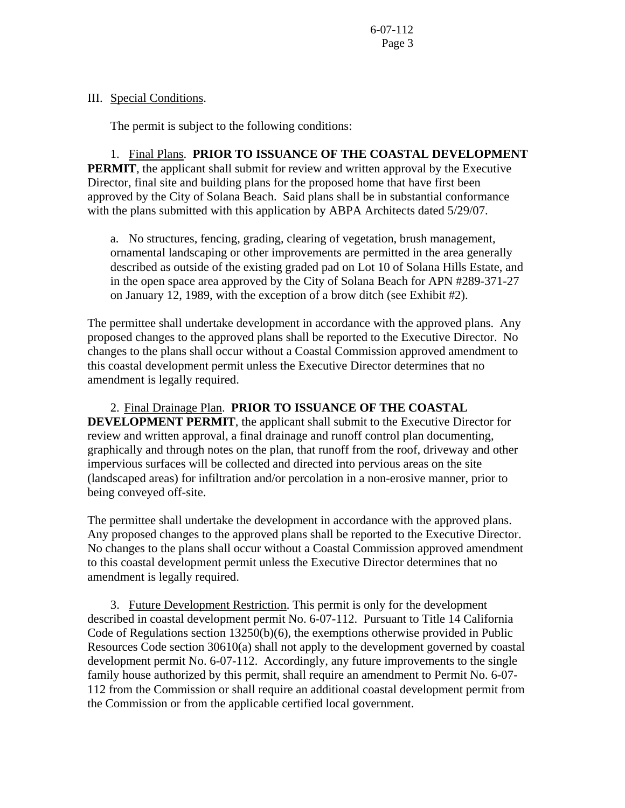#### III. Special Conditions.

The permit is subject to the following conditions:

 1. Final Plans. **PRIOR TO ISSUANCE OF THE COASTAL DEVELOPMENT PERMIT**, the applicant shall submit for review and written approval by the Executive Director, final site and building plans for the proposed home that have first been approved by the City of Solana Beach. Said plans shall be in substantial conformance with the plans submitted with this application by ABPA Architects dated 5/29/07.

a. No structures, fencing, grading, clearing of vegetation, brush management, ornamental landscaping or other improvements are permitted in the area generally described as outside of the existing graded pad on Lot 10 of Solana Hills Estate, and in the open space area approved by the City of Solana Beach for APN #289-371-27 on January 12, 1989, with the exception of a brow ditch (see Exhibit #2).

The permittee shall undertake development in accordance with the approved plans. Any proposed changes to the approved plans shall be reported to the Executive Director. No changes to the plans shall occur without a Coastal Commission approved amendment to this coastal development permit unless the Executive Director determines that no amendment is legally required.

2. Final Drainage Plan. **PRIOR TO ISSUANCE OF THE COASTAL DEVELOPMENT PERMIT**, the applicant shall submit to the Executive Director for review and written approval, a final drainage and runoff control plan documenting, graphically and through notes on the plan, that runoff from the roof, driveway and other impervious surfaces will be collected and directed into pervious areas on the site (landscaped areas) for infiltration and/or percolation in a non-erosive manner, prior to being conveyed off-site.

The permittee shall undertake the development in accordance with the approved plans. Any proposed changes to the approved plans shall be reported to the Executive Director. No changes to the plans shall occur without a Coastal Commission approved amendment to this coastal development permit unless the Executive Director determines that no amendment is legally required.

 3. Future Development Restriction. This permit is only for the development described in coastal development permit No. 6-07-112. Pursuant to Title 14 California Code of Regulations section 13250(b)(6), the exemptions otherwise provided in Public Resources Code section 30610(a) shall not apply to the development governed by coastal development permit No. 6-07-112.Accordingly, any future improvements to the single family house authorized by this permit, shall require an amendment to Permit No. 6-07- 112 from the Commission or shall require an additional coastal development permit from the Commission or from the applicable certified local government.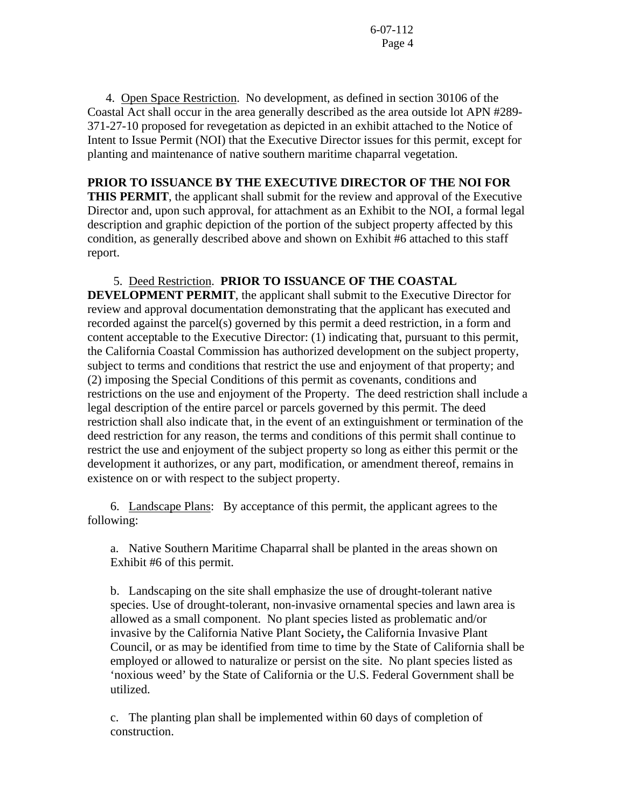4. Open Space Restriction.No development, as defined in section 30106 of the Coastal Act shall occur in the area generally described as the area outside lot APN #289- 371-27-10 proposed for revegetation as depicted in an exhibit attached to the Notice of Intent to Issue Permit (NOI) that the Executive Director issues for this permit, except for planting and maintenance of native southern maritime chaparral vegetation.

### **PRIOR TO ISSUANCE BY THE EXECUTIVE DIRECTOR OF THE NOI FOR**

**THIS PERMIT**, the applicant shall submit for the review and approval of the Executive Director and, upon such approval, for attachment as an Exhibit to the NOI, a formal legal description and graphic depiction of the portion of the subject property affected by this condition, as generally described above and shown on Exhibit #6 attached to this staff report.

#### 5. Deed Restriction. **PRIOR TO ISSUANCE OF THE COASTAL**

**DEVELOPMENT PERMIT**, the applicant shall submit to the Executive Director for review and approval documentation demonstrating that the applicant has executed and recorded against the parcel(s) governed by this permit a deed restriction, in a form and content acceptable to the Executive Director: (1) indicating that, pursuant to this permit, the California Coastal Commission has authorized development on the subject property, subject to terms and conditions that restrict the use and enjoyment of that property; and (2) imposing the Special Conditions of this permit as covenants, conditions and restrictions on the use and enjoyment of the Property. The deed restriction shall include a legal description of the entire parcel or parcels governed by this permit. The deed restriction shall also indicate that, in the event of an extinguishment or termination of the deed restriction for any reason, the terms and conditions of this permit shall continue to restrict the use and enjoyment of the subject property so long as either this permit or the development it authorizes, or any part, modification, or amendment thereof, remains in existence on or with respect to the subject property.

 6. Landscape Plans: By acceptance of this permit, the applicant agrees to the following:

 a. Native Southern Maritime Chaparral shall be planted in the areas shown on Exhibit #6 of this permit.

b. Landscaping on the site shall emphasize the use of drought-tolerant native species. Use of drought-tolerant, non-invasive ornamental species and lawn area is allowed as a small component. No plant species listed as problematic and/or invasive by the California Native Plant Society**,** the California Invasive Plant Council, or as may be identified from time to time by the State of California shall be employed or allowed to naturalize or persist on the site. No plant species listed as 'noxious weed' by the State of California or the U.S. Federal Government shall be utilized.

c. The planting plan shall be implemented within 60 days of completion of construction.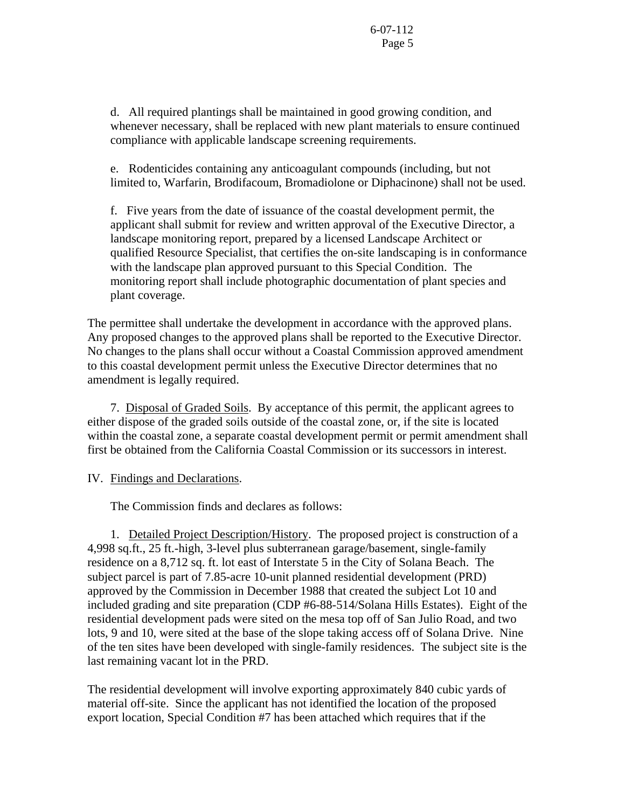d. All required plantings shall be maintained in good growing condition, and whenever necessary, shall be replaced with new plant materials to ensure continued compliance with applicable landscape screening requirements.

e. Rodenticides containing any anticoagulant compounds (including, but not limited to, Warfarin, Brodifacoum, Bromadiolone or Diphacinone) shall not be used.

f. Five years from the date of issuance of the coastal development permit, the applicant shall submit for review and written approval of the Executive Director, a landscape monitoring report, prepared by a licensed Landscape Architect or qualified Resource Specialist, that certifies the on-site landscaping is in conformance with the landscape plan approved pursuant to this Special Condition. The monitoring report shall include photographic documentation of plant species and plant coverage.

The permittee shall undertake the development in accordance with the approved plans. Any proposed changes to the approved plans shall be reported to the Executive Director. No changes to the plans shall occur without a Coastal Commission approved amendment to this coastal development permit unless the Executive Director determines that no amendment is legally required.

 7. Disposal of Graded Soils. By acceptance of this permit, the applicant agrees to either dispose of the graded soils outside of the coastal zone, or, if the site is located within the coastal zone, a separate coastal development permit or permit amendment shall first be obtained from the California Coastal Commission or its successors in interest.

#### IV. Findings and Declarations.

The Commission finds and declares as follows:

 1. Detailed Project Description/History. The proposed project is construction of a 4,998 sq.ft., 25 ft.-high, 3-level plus subterranean garage/basement, single-family residence on a 8,712 sq. ft. lot east of Interstate 5 in the City of Solana Beach. The subject parcel is part of 7.85-acre 10-unit planned residential development (PRD) approved by the Commission in December 1988 that created the subject Lot 10 and included grading and site preparation (CDP #6-88-514/Solana Hills Estates). Eight of the residential development pads were sited on the mesa top off of San Julio Road, and two lots, 9 and 10, were sited at the base of the slope taking access off of Solana Drive. Nine of the ten sites have been developed with single-family residences. The subject site is the last remaining vacant lot in the PRD.

The residential development will involve exporting approximately 840 cubic yards of material off-site. Since the applicant has not identified the location of the proposed export location, Special Condition #7 has been attached which requires that if the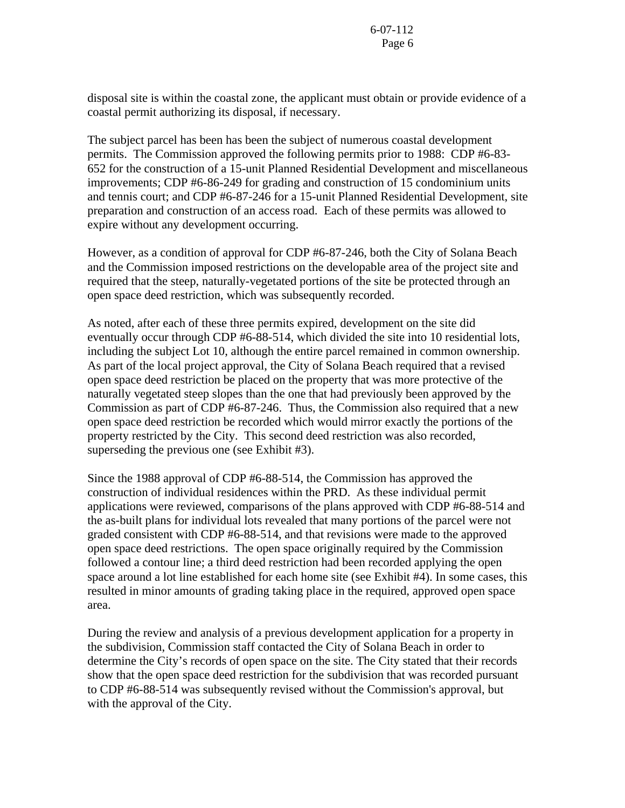disposal site is within the coastal zone, the applicant must obtain or provide evidence of a coastal permit authorizing its disposal, if necessary.

The subject parcel has been has been the subject of numerous coastal development permits. The Commission approved the following permits prior to 1988: CDP #6-83- 652 for the construction of a 15-unit Planned Residential Development and miscellaneous improvements; CDP #6-86-249 for grading and construction of 15 condominium units and tennis court; and CDP #6-87-246 for a 15-unit Planned Residential Development, site preparation and construction of an access road. Each of these permits was allowed to expire without any development occurring.

However, as a condition of approval for CDP #6-87-246, both the City of Solana Beach and the Commission imposed restrictions on the developable area of the project site and required that the steep, naturally-vegetated portions of the site be protected through an open space deed restriction, which was subsequently recorded.

As noted, after each of these three permits expired, development on the site did eventually occur through CDP #6-88-514, which divided the site into 10 residential lots, including the subject Lot 10, although the entire parcel remained in common ownership. As part of the local project approval, the City of Solana Beach required that a revised open space deed restriction be placed on the property that was more protective of the naturally vegetated steep slopes than the one that had previously been approved by the Commission as part of CDP #6-87-246. Thus, the Commission also required that a new open space deed restriction be recorded which would mirror exactly the portions of the property restricted by the City. This second deed restriction was also recorded, superseding the previous one (see Exhibit #3).

Since the 1988 approval of CDP #6-88-514, the Commission has approved the construction of individual residences within the PRD. As these individual permit applications were reviewed, comparisons of the plans approved with CDP #6-88-514 and the as-built plans for individual lots revealed that many portions of the parcel were not graded consistent with CDP #6-88-514, and that revisions were made to the approved open space deed restrictions. The open space originally required by the Commission followed a contour line; a third deed restriction had been recorded applying the open space around a lot line established for each home site (see Exhibit #4). In some cases, this resulted in minor amounts of grading taking place in the required, approved open space area.

During the review and analysis of a previous development application for a property in the subdivision, Commission staff contacted the City of Solana Beach in order to determine the City's records of open space on the site. The City stated that their records show that the open space deed restriction for the subdivision that was recorded pursuant to CDP #6-88-514 was subsequently revised without the Commission's approval, but with the approval of the City.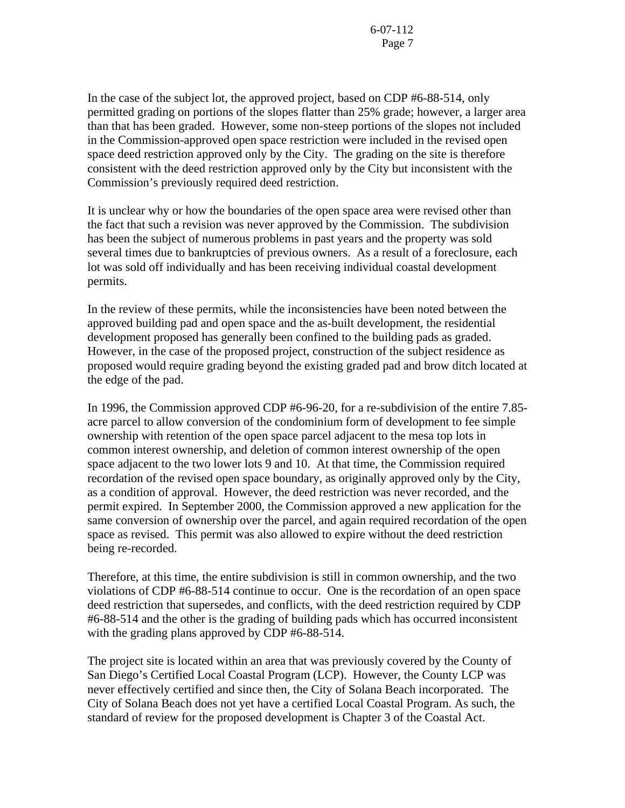In the case of the subject lot, the approved project, based on CDP #6-88-514, only permitted grading on portions of the slopes flatter than 25% grade; however, a larger area than that has been graded. However, some non-steep portions of the slopes not included in the Commission-approved open space restriction were included in the revised open space deed restriction approved only by the City. The grading on the site is therefore consistent with the deed restriction approved only by the City but inconsistent with the Commission's previously required deed restriction.

It is unclear why or how the boundaries of the open space area were revised other than the fact that such a revision was never approved by the Commission. The subdivision has been the subject of numerous problems in past years and the property was sold several times due to bankruptcies of previous owners. As a result of a foreclosure, each lot was sold off individually and has been receiving individual coastal development permits.

In the review of these permits, while the inconsistencies have been noted between the approved building pad and open space and the as-built development, the residential development proposed has generally been confined to the building pads as graded. However, in the case of the proposed project, construction of the subject residence as proposed would require grading beyond the existing graded pad and brow ditch located at the edge of the pad.

In 1996, the Commission approved CDP #6-96-20, for a re-subdivision of the entire 7.85 acre parcel to allow conversion of the condominium form of development to fee simple ownership with retention of the open space parcel adjacent to the mesa top lots in common interest ownership, and deletion of common interest ownership of the open space adjacent to the two lower lots 9 and 10. At that time, the Commission required recordation of the revised open space boundary, as originally approved only by the City, as a condition of approval. However, the deed restriction was never recorded, and the permit expired. In September 2000, the Commission approved a new application for the same conversion of ownership over the parcel, and again required recordation of the open space as revised. This permit was also allowed to expire without the deed restriction being re-recorded.

Therefore, at this time, the entire subdivision is still in common ownership, and the two violations of CDP #6-88-514 continue to occur. One is the recordation of an open space deed restriction that supersedes, and conflicts, with the deed restriction required by CDP #6-88-514 and the other is the grading of building pads which has occurred inconsistent with the grading plans approved by CDP #6-88-514.

The project site is located within an area that was previously covered by the County of San Diego's Certified Local Coastal Program (LCP). However, the County LCP was never effectively certified and since then, the City of Solana Beach incorporated. The City of Solana Beach does not yet have a certified Local Coastal Program. As such, the standard of review for the proposed development is Chapter 3 of the Coastal Act.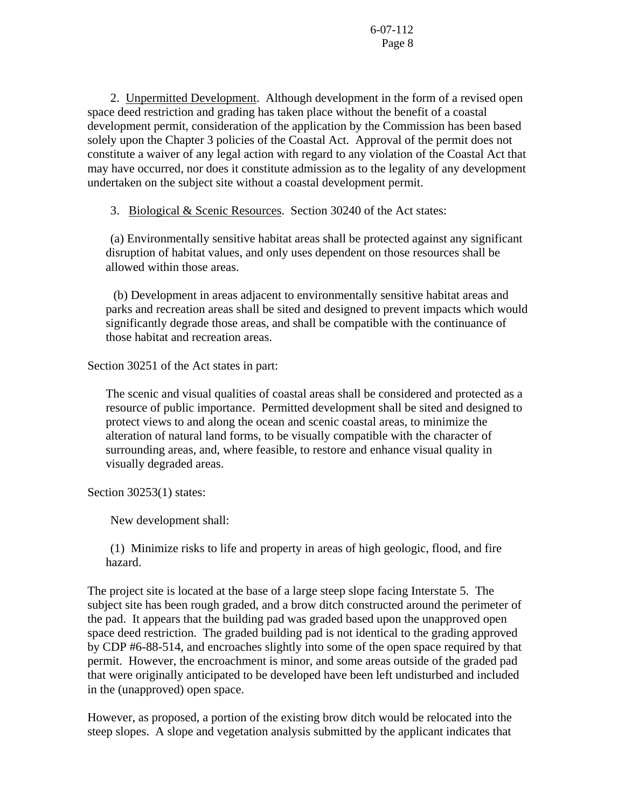2. Unpermitted Development. Although development in the form of a revised open space deed restriction and grading has taken place without the benefit of a coastal development permit, consideration of the application by the Commission has been based solely upon the Chapter 3 policies of the Coastal Act. Approval of the permit does not constitute a waiver of any legal action with regard to any violation of the Coastal Act that may have occurred, nor does it constitute admission as to the legality of any development undertaken on the subject site without a coastal development permit.

3. Biological & Scenic Resources. Section 30240 of the Act states:

 (a) Environmentally sensitive habitat areas shall be protected against any significant disruption of habitat values, and only uses dependent on those resources shall be allowed within those areas.

 (b) Development in areas adjacent to environmentally sensitive habitat areas and parks and recreation areas shall be sited and designed to prevent impacts which would significantly degrade those areas, and shall be compatible with the continuance of those habitat and recreation areas.

Section 30251 of the Act states in part:

The scenic and visual qualities of coastal areas shall be considered and protected as a resource of public importance. Permitted development shall be sited and designed to protect views to and along the ocean and scenic coastal areas, to minimize the alteration of natural land forms, to be visually compatible with the character of surrounding areas, and, where feasible, to restore and enhance visual quality in visually degraded areas.

Section 30253(1) states:

New development shall:

 (1) Minimize risks to life and property in areas of high geologic, flood, and fire hazard.

The project site is located at the base of a large steep slope facing Interstate 5. The subject site has been rough graded, and a brow ditch constructed around the perimeter of the pad. It appears that the building pad was graded based upon the unapproved open space deed restriction. The graded building pad is not identical to the grading approved by CDP #6-88-514, and encroaches slightly into some of the open space required by that permit. However, the encroachment is minor, and some areas outside of the graded pad that were originally anticipated to be developed have been left undisturbed and included in the (unapproved) open space.

However, as proposed, a portion of the existing brow ditch would be relocated into the steep slopes. A slope and vegetation analysis submitted by the applicant indicates that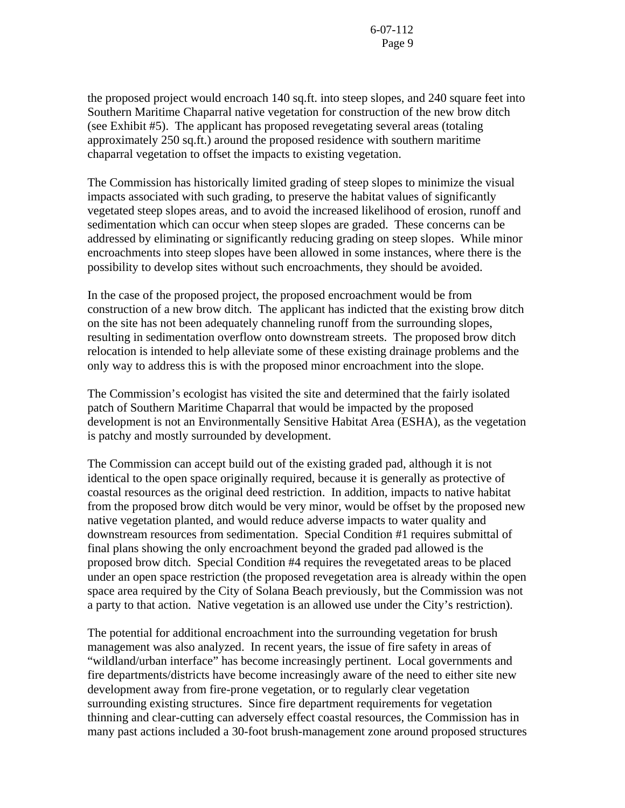the proposed project would encroach 140 sq.ft. into steep slopes, and 240 square feet into Southern Maritime Chaparral native vegetation for construction of the new brow ditch (see Exhibit #5). The applicant has proposed revegetating several areas (totaling approximately 250 sq.ft.) around the proposed residence with southern maritime chaparral vegetation to offset the impacts to existing vegetation.

The Commission has historically limited grading of steep slopes to minimize the visual impacts associated with such grading, to preserve the habitat values of significantly vegetated steep slopes areas, and to avoid the increased likelihood of erosion, runoff and sedimentation which can occur when steep slopes are graded. These concerns can be addressed by eliminating or significantly reducing grading on steep slopes. While minor encroachments into steep slopes have been allowed in some instances, where there is the possibility to develop sites without such encroachments, they should be avoided.

In the case of the proposed project, the proposed encroachment would be from construction of a new brow ditch. The applicant has indicted that the existing brow ditch on the site has not been adequately channeling runoff from the surrounding slopes, resulting in sedimentation overflow onto downstream streets. The proposed brow ditch relocation is intended to help alleviate some of these existing drainage problems and the only way to address this is with the proposed minor encroachment into the slope.

The Commission's ecologist has visited the site and determined that the fairly isolated patch of Southern Maritime Chaparral that would be impacted by the proposed development is not an Environmentally Sensitive Habitat Area (ESHA), as the vegetation is patchy and mostly surrounded by development.

The Commission can accept build out of the existing graded pad, although it is not identical to the open space originally required, because it is generally as protective of coastal resources as the original deed restriction. In addition, impacts to native habitat from the proposed brow ditch would be very minor, would be offset by the proposed new native vegetation planted, and would reduce adverse impacts to water quality and downstream resources from sedimentation. Special Condition #1 requires submittal of final plans showing the only encroachment beyond the graded pad allowed is the proposed brow ditch. Special Condition #4 requires the revegetated areas to be placed under an open space restriction (the proposed revegetation area is already within the open space area required by the City of Solana Beach previously, but the Commission was not a party to that action. Native vegetation is an allowed use under the City's restriction).

The potential for additional encroachment into the surrounding vegetation for brush management was also analyzed. In recent years, the issue of fire safety in areas of "wildland/urban interface" has become increasingly pertinent. Local governments and fire departments/districts have become increasingly aware of the need to either site new development away from fire-prone vegetation, or to regularly clear vegetation surrounding existing structures. Since fire department requirements for vegetation thinning and clear-cutting can adversely effect coastal resources, the Commission has in many past actions included a 30-foot brush-management zone around proposed structures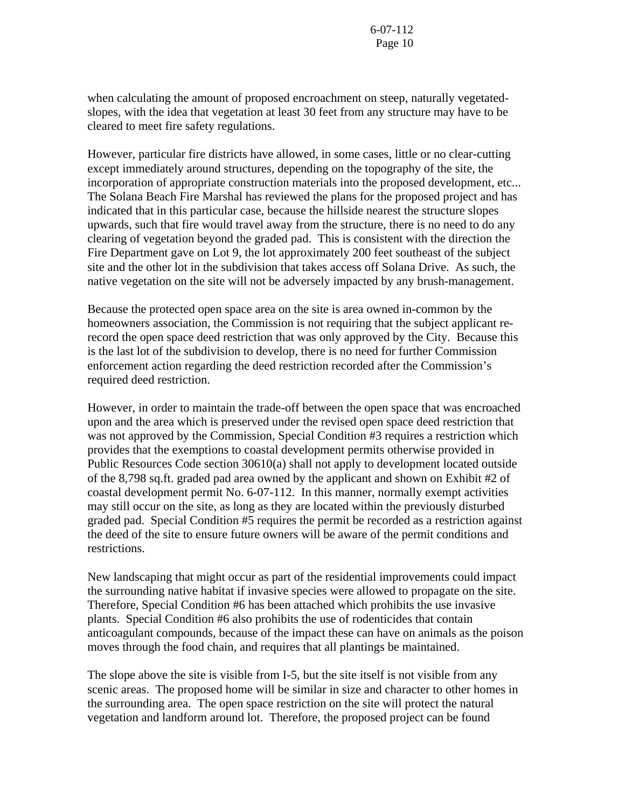when calculating the amount of proposed encroachment on steep, naturally vegetatedslopes, with the idea that vegetation at least 30 feet from any structure may have to be cleared to meet fire safety regulations.

However, particular fire districts have allowed, in some cases, little or no clear-cutting except immediately around structures, depending on the topography of the site, the incorporation of appropriate construction materials into the proposed development, etc... The Solana Beach Fire Marshal has reviewed the plans for the proposed project and has indicated that in this particular case, because the hillside nearest the structure slopes upwards, such that fire would travel away from the structure, there is no need to do any clearing of vegetation beyond the graded pad. This is consistent with the direction the Fire Department gave on Lot 9, the lot approximately 200 feet southeast of the subject site and the other lot in the subdivision that takes access off Solana Drive. As such, the native vegetation on the site will not be adversely impacted by any brush-management.

Because the protected open space area on the site is area owned in-common by the homeowners association, the Commission is not requiring that the subject applicant rerecord the open space deed restriction that was only approved by the City. Because this is the last lot of the subdivision to develop, there is no need for further Commission enforcement action regarding the deed restriction recorded after the Commission's required deed restriction.

However, in order to maintain the trade-off between the open space that was encroached upon and the area which is preserved under the revised open space deed restriction that was not approved by the Commission, Special Condition #3 requires a restriction which provides that the exemptions to coastal development permits otherwise provided in Public Resources Code section 30610(a) shall not apply to development located outside of the 8,798 sq.ft. graded pad area owned by the applicant and shown on Exhibit #2 of coastal development permit No. 6-07-112. In this manner, normally exempt activities may still occur on the site, as long as they are located within the previously disturbed graded pad. Special Condition #5 requires the permit be recorded as a restriction against the deed of the site to ensure future owners will be aware of the permit conditions and restrictions.

New landscaping that might occur as part of the residential improvements could impact the surrounding native habitat if invasive species were allowed to propagate on the site. Therefore, Special Condition #6 has been attached which prohibits the use invasive plants. Special Condition #6 also prohibits the use of rodenticides that contain anticoagulant compounds, because of the impact these can have on animals as the poison moves through the food chain, and requires that all plantings be maintained.

The slope above the site is visible from I-5, but the site itself is not visible from any scenic areas. The proposed home will be similar in size and character to other homes in the surrounding area. The open space restriction on the site will protect the natural vegetation and landform around lot. Therefore, the proposed project can be found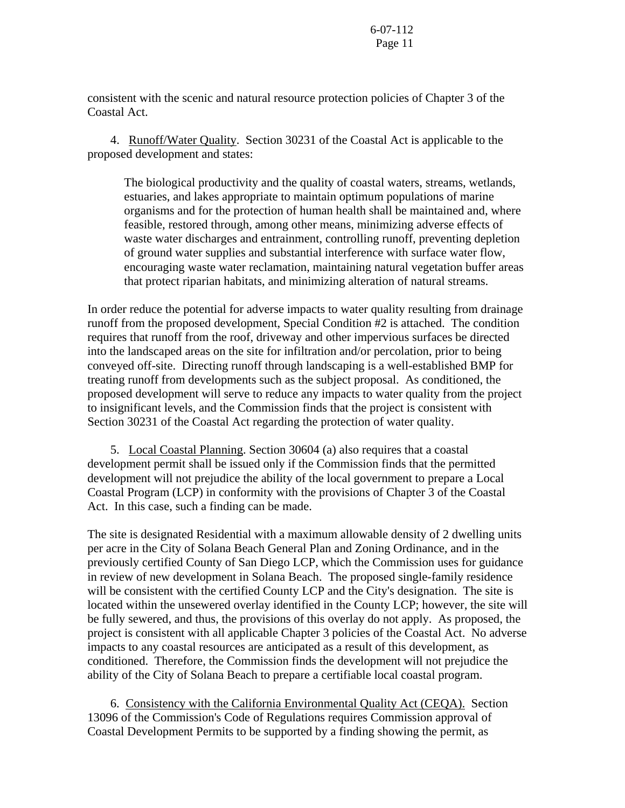consistent with the scenic and natural resource protection policies of Chapter 3 of the Coastal Act.

 4. Runoff/Water Quality. Section 30231 of the Coastal Act is applicable to the proposed development and states:

The biological productivity and the quality of coastal waters, streams, wetlands, estuaries, and lakes appropriate to maintain optimum populations of marine organisms and for the protection of human health shall be maintained and, where feasible, restored through, among other means, minimizing adverse effects of waste water discharges and entrainment, controlling runoff, preventing depletion of ground water supplies and substantial interference with surface water flow, encouraging waste water reclamation, maintaining natural vegetation buffer areas that protect riparian habitats, and minimizing alteration of natural streams.

In order reduce the potential for adverse impacts to water quality resulting from drainage runoff from the proposed development, Special Condition #2 is attached. The condition requires that runoff from the roof, driveway and other impervious surfaces be directed into the landscaped areas on the site for infiltration and/or percolation, prior to being conveyed off-site. Directing runoff through landscaping is a well-established BMP for treating runoff from developments such as the subject proposal. As conditioned, the proposed development will serve to reduce any impacts to water quality from the project to insignificant levels, and the Commission finds that the project is consistent with Section 30231 of the Coastal Act regarding the protection of water quality.

 5. Local Coastal Planning. Section 30604 (a) also requires that a coastal development permit shall be issued only if the Commission finds that the permitted development will not prejudice the ability of the local government to prepare a Local Coastal Program (LCP) in conformity with the provisions of Chapter 3 of the Coastal Act. In this case, such a finding can be made.

The site is designated Residential with a maximum allowable density of 2 dwelling units per acre in the City of Solana Beach General Plan and Zoning Ordinance, and in the previously certified County of San Diego LCP, which the Commission uses for guidance in review of new development in Solana Beach. The proposed single-family residence will be consistent with the certified County LCP and the City's designation. The site is located within the unsewered overlay identified in the County LCP; however, the site will be fully sewered, and thus, the provisions of this overlay do not apply. As proposed, the project is consistent with all applicable Chapter 3 policies of the Coastal Act. No adverse impacts to any coastal resources are anticipated as a result of this development, as conditioned. Therefore, the Commission finds the development will not prejudice the ability of the City of Solana Beach to prepare a certifiable local coastal program.

 6. Consistency with the California Environmental Quality Act (CEQA). Section 13096 of the Commission's Code of Regulations requires Commission approval of Coastal Development Permits to be supported by a finding showing the permit, as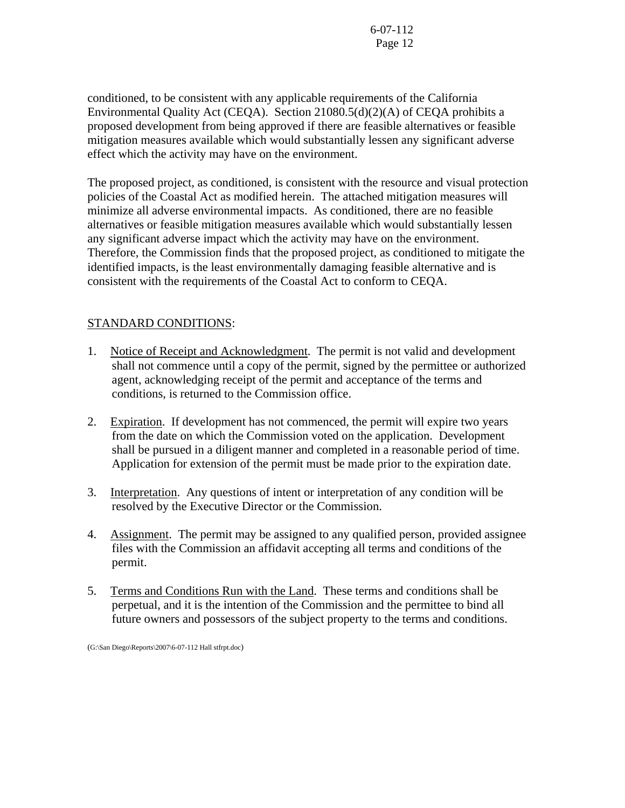conditioned, to be consistent with any applicable requirements of the California Environmental Quality Act (CEQA). Section 21080.5(d)(2)(A) of CEQA prohibits a proposed development from being approved if there are feasible alternatives or feasible mitigation measures available which would substantially lessen any significant adverse effect which the activity may have on the environment.

The proposed project, as conditioned, is consistent with the resource and visual protection policies of the Coastal Act as modified herein. The attached mitigation measures will minimize all adverse environmental impacts. As conditioned, there are no feasible alternatives or feasible mitigation measures available which would substantially lessen any significant adverse impact which the activity may have on the environment. Therefore, the Commission finds that the proposed project, as conditioned to mitigate the identified impacts, is the least environmentally damaging feasible alternative and is consistent with the requirements of the Coastal Act to conform to CEQA.

# STANDARD CONDITIONS:

- 1. Notice of Receipt and Acknowledgment. The permit is not valid and development shall not commence until a copy of the permit, signed by the permittee or authorized agent, acknowledging receipt of the permit and acceptance of the terms and conditions, is returned to the Commission office.
- 2. Expiration. If development has not commenced, the permit will expire two years from the date on which the Commission voted on the application. Development shall be pursued in a diligent manner and completed in a reasonable period of time. Application for extension of the permit must be made prior to the expiration date.
- 3. Interpretation. Any questions of intent or interpretation of any condition will be resolved by the Executive Director or the Commission.
- 4. Assignment. The permit may be assigned to any qualified person, provided assignee files with the Commission an affidavit accepting all terms and conditions of the permit.
- 5. Terms and Conditions Run with the Land. These terms and conditions shall be perpetual, and it is the intention of the Commission and the permittee to bind all future owners and possessors of the subject property to the terms and conditions.

(G:\San Diego\Reports\2007\6-07-112 Hall stfrpt.doc)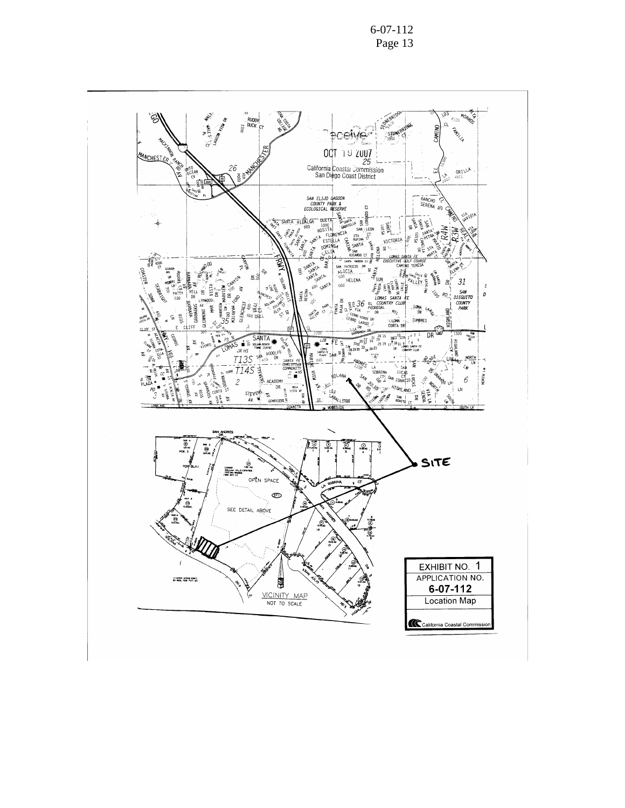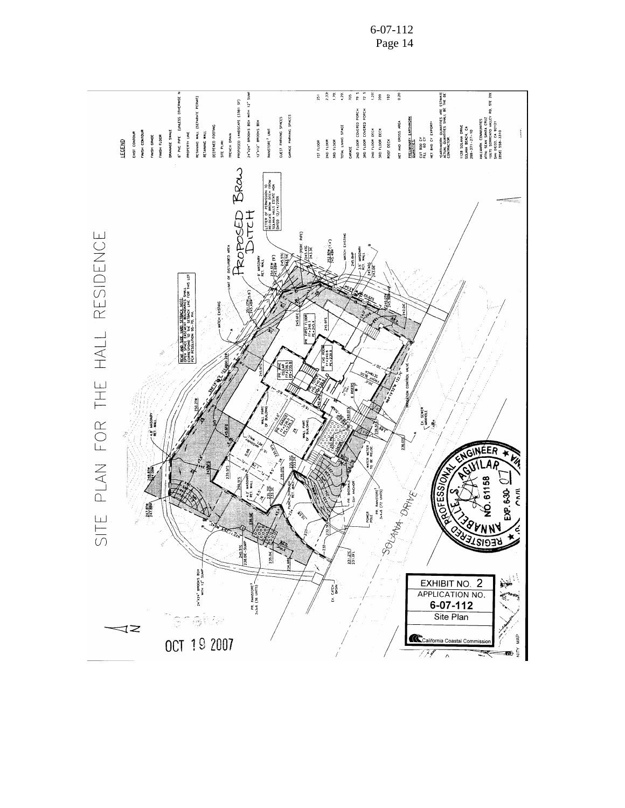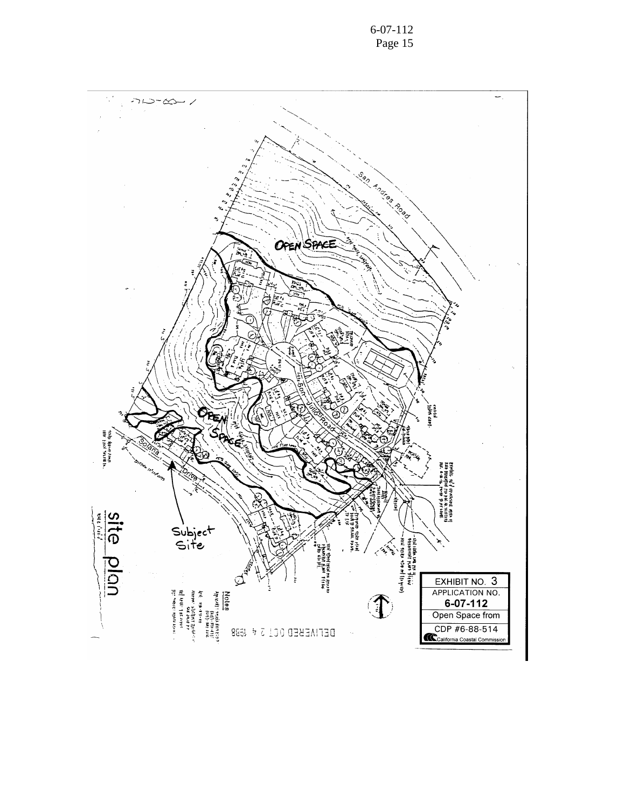

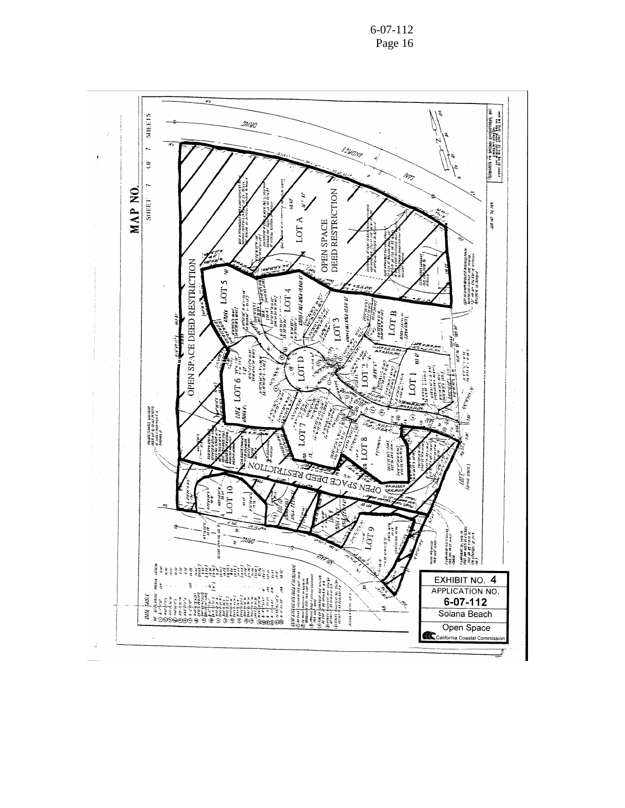6-07-112 Page 16

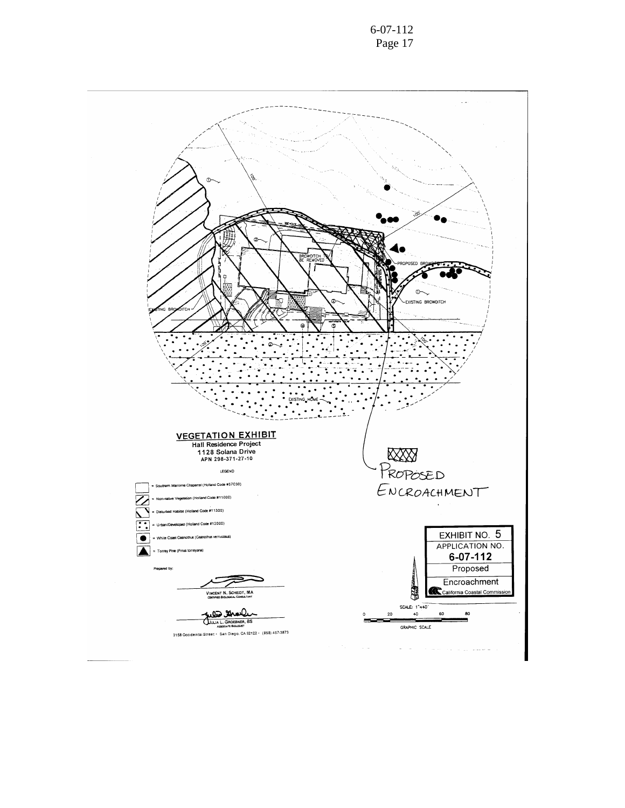